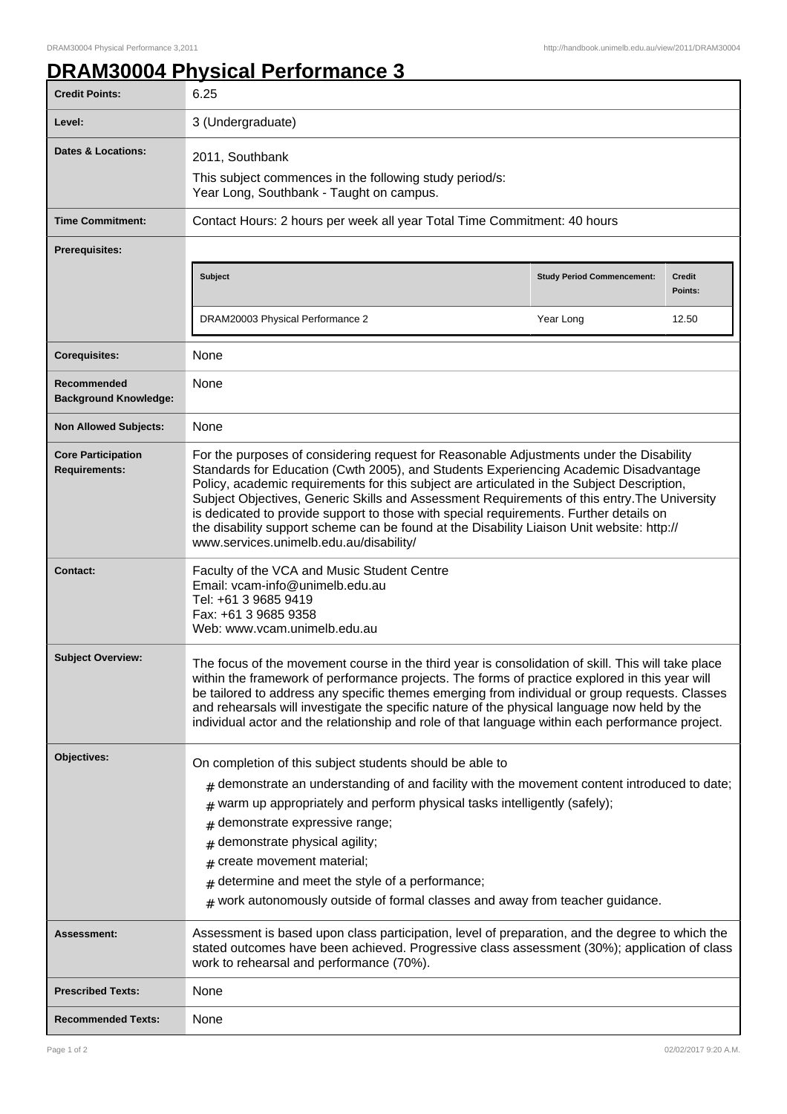## **DRAM30004 Physical Performance 3**

| <b>Credit Points:</b>                             | 6.25                                                                                                                                                                                                                                                                                                                                                                                                                                                                                                                                                                                                             |                                   |                          |
|---------------------------------------------------|------------------------------------------------------------------------------------------------------------------------------------------------------------------------------------------------------------------------------------------------------------------------------------------------------------------------------------------------------------------------------------------------------------------------------------------------------------------------------------------------------------------------------------------------------------------------------------------------------------------|-----------------------------------|--------------------------|
| Level:                                            | 3 (Undergraduate)                                                                                                                                                                                                                                                                                                                                                                                                                                                                                                                                                                                                |                                   |                          |
| Dates & Locations:                                | 2011, Southbank                                                                                                                                                                                                                                                                                                                                                                                                                                                                                                                                                                                                  |                                   |                          |
|                                                   | This subject commences in the following study period/s:<br>Year Long, Southbank - Taught on campus.                                                                                                                                                                                                                                                                                                                                                                                                                                                                                                              |                                   |                          |
| <b>Time Commitment:</b>                           | Contact Hours: 2 hours per week all year Total Time Commitment: 40 hours                                                                                                                                                                                                                                                                                                                                                                                                                                                                                                                                         |                                   |                          |
| <b>Prerequisites:</b>                             |                                                                                                                                                                                                                                                                                                                                                                                                                                                                                                                                                                                                                  |                                   |                          |
|                                                   | Subject                                                                                                                                                                                                                                                                                                                                                                                                                                                                                                                                                                                                          | <b>Study Period Commencement:</b> | <b>Credit</b><br>Points: |
|                                                   | DRAM20003 Physical Performance 2                                                                                                                                                                                                                                                                                                                                                                                                                                                                                                                                                                                 | Year Long                         | 12.50                    |
| <b>Corequisites:</b>                              | None                                                                                                                                                                                                                                                                                                                                                                                                                                                                                                                                                                                                             |                                   |                          |
| Recommended<br><b>Background Knowledge:</b>       | None                                                                                                                                                                                                                                                                                                                                                                                                                                                                                                                                                                                                             |                                   |                          |
| <b>Non Allowed Subjects:</b>                      | None                                                                                                                                                                                                                                                                                                                                                                                                                                                                                                                                                                                                             |                                   |                          |
| <b>Core Participation</b><br><b>Requirements:</b> | For the purposes of considering request for Reasonable Adjustments under the Disability<br>Standards for Education (Cwth 2005), and Students Experiencing Academic Disadvantage<br>Policy, academic requirements for this subject are articulated in the Subject Description,<br>Subject Objectives, Generic Skills and Assessment Requirements of this entry. The University<br>is dedicated to provide support to those with special requirements. Further details on<br>the disability support scheme can be found at the Disability Liaison Unit website: http://<br>www.services.unimelb.edu.au/disability/ |                                   |                          |
| <b>Contact:</b>                                   | Faculty of the VCA and Music Student Centre<br>Email: vcam-info@unimelb.edu.au<br>Tel: +61 3 9685 9419<br>Fax: +61 3 9685 9358<br>Web: www.vcam.unimelb.edu.au                                                                                                                                                                                                                                                                                                                                                                                                                                                   |                                   |                          |
| <b>Subject Overview:</b>                          | The focus of the movement course in the third year is consolidation of skill. This will take place<br>within the framework of performance projects. The forms of practice explored in this year will<br>be tailored to address any specific themes emerging from individual or group requests. Classes<br>and rehearsals will investigate the specific nature of the physical language now held by the<br>individual actor and the relationship and role of that language within each performance project.                                                                                                       |                                   |                          |
| Objectives:                                       | On completion of this subject students should be able to                                                                                                                                                                                                                                                                                                                                                                                                                                                                                                                                                         |                                   |                          |
|                                                   | $#$ demonstrate an understanding of and facility with the movement content introduced to date;                                                                                                                                                                                                                                                                                                                                                                                                                                                                                                                   |                                   |                          |
|                                                   | warm up appropriately and perform physical tasks intelligently (safely);                                                                                                                                                                                                                                                                                                                                                                                                                                                                                                                                         |                                   |                          |
|                                                   | demonstrate expressive range;<br>#                                                                                                                                                                                                                                                                                                                                                                                                                                                                                                                                                                               |                                   |                          |
|                                                   | demonstrate physical agility;<br>#                                                                                                                                                                                                                                                                                                                                                                                                                                                                                                                                                                               |                                   |                          |
|                                                   | create movement material;<br>#<br>determine and meet the style of a performance;                                                                                                                                                                                                                                                                                                                                                                                                                                                                                                                                 |                                   |                          |
|                                                   | #<br>$#$ work autonomously outside of formal classes and away from teacher guidance.                                                                                                                                                                                                                                                                                                                                                                                                                                                                                                                             |                                   |                          |
| Assessment:                                       | Assessment is based upon class participation, level of preparation, and the degree to which the<br>stated outcomes have been achieved. Progressive class assessment (30%); application of class<br>work to rehearsal and performance (70%).                                                                                                                                                                                                                                                                                                                                                                      |                                   |                          |
| <b>Prescribed Texts:</b>                          | None                                                                                                                                                                                                                                                                                                                                                                                                                                                                                                                                                                                                             |                                   |                          |
| <b>Recommended Texts:</b>                         | None                                                                                                                                                                                                                                                                                                                                                                                                                                                                                                                                                                                                             |                                   |                          |